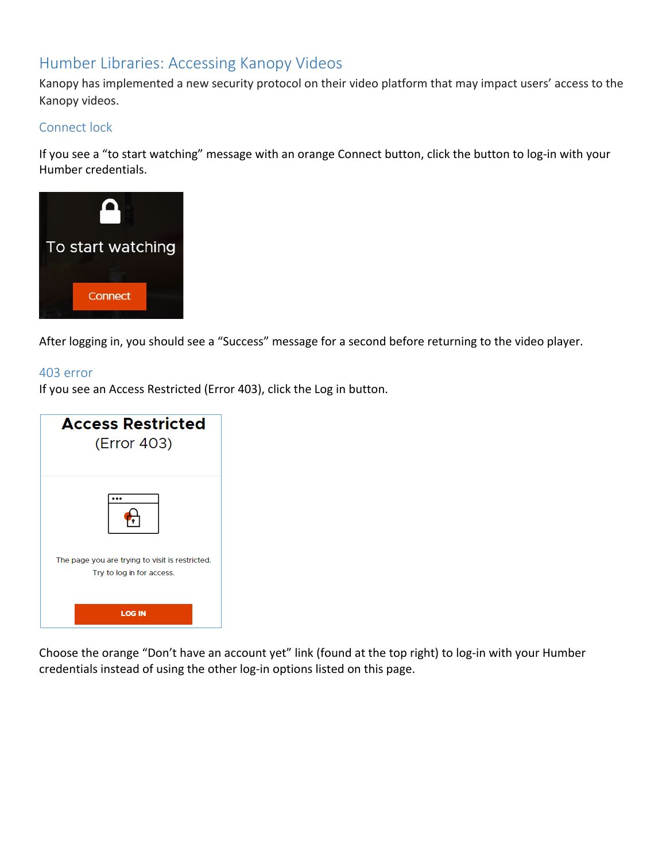# Humber Libraries: Accessing Kanopy Videos

Kanopy has implemented a new security protocol on their video platform that may impact users' access to the Kanopy videos.

## Connect lock

If you see a "to start watching" message with an orange Connect button, click the button to log-in with your Humber credentials.



After logging in, you should see a "Success" message for a second before returning to the video player.

#### 403 error

If you see an Access Restricted (Error 403), click the Log in button.



Choose the orange "Don't have an account yet" link (found at the top right) to log-in with your Humber credentials instead of using the other log-in options listed on this page.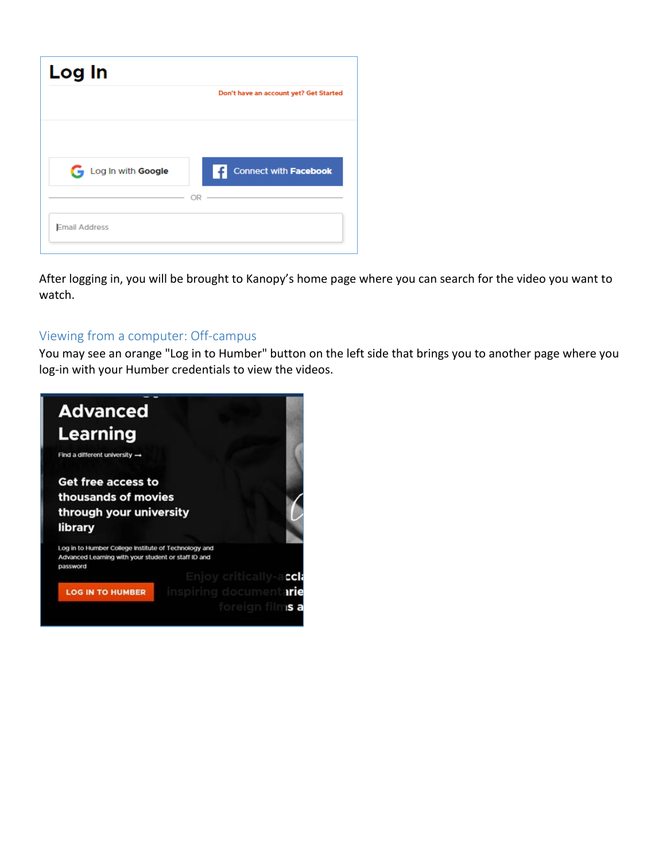| Log In               |                                        |
|----------------------|----------------------------------------|
|                      | Don't have an account yet? Get Started |
|                      |                                        |
| Log In with Google   | Connect with Facebook                  |
|                      | OR                                     |
| <b>Email Address</b> |                                        |

After logging in, you will be brought to Kanopy's home page where you can search for the video you want to watch.

# Viewing from a computer: Off-campus

You may see an orange "Log in to Humber" button on the left side that brings you to another page where you log-in with your Humber credentials to view the videos.